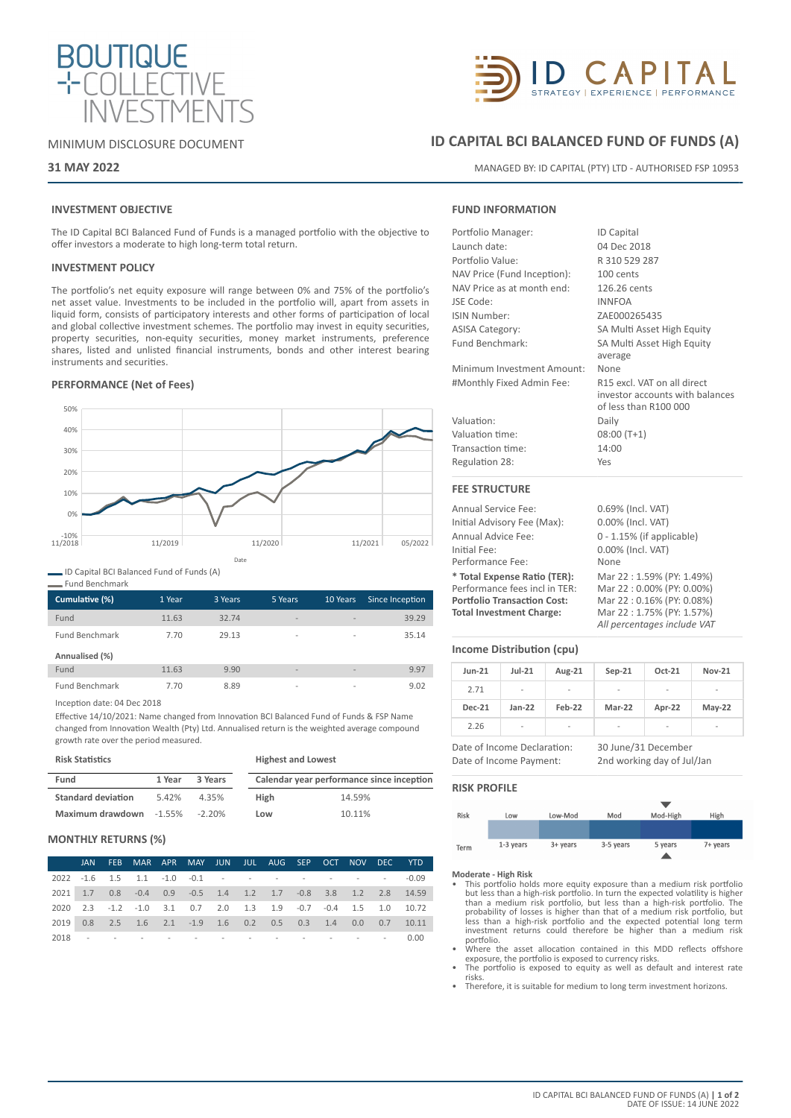

#### MINIMUM DISCLOSURE DOCUMENT

#### **31 MAY 2022**

## **INVESTMENT OBJECTIVE**

The ID Capital BCI Balanced Fund of Funds is a managed portfolio with the objective to offer investors a moderate to high long-term total return.

#### **INVESTMENT POLICY**

The portfolio's net equity exposure will range between 0% and 75% of the portfolio's net asset value. Investments to be included in the portfolio will, apart from assets in liquid form, consists of participatory interests and other forms of participation of local and global collective investment schemes. The portfolio may invest in equity securities, property securities, non-equity securities, money market instruments, preference shares, listed and unlisted financial instruments, bonds and other interest bearing instruments and securities.

### **PERFORMANCE (Net of Fees)**



ID Capital BCI Balanced Fund of Funds (A)

| ווטוווע פכווטווווטוו  |        |         |                          |                          |                 |
|-----------------------|--------|---------|--------------------------|--------------------------|-----------------|
| Cumulative (%)        | 1 Year | 3 Years | 5 Years                  | 10 Years                 | Since Inception |
| Fund                  | 11.63  | 32.74   | $\overline{\phantom{a}}$ | $\overline{\phantom{a}}$ | 39.29           |
| <b>Fund Benchmark</b> | 7.70   | 29.13   | $\overline{\phantom{a}}$ | $\overline{a}$           | 35.14           |
| Annualised (%)        |        |         |                          |                          |                 |
| Fund                  | 11.63  | 9.90    | $\overline{\phantom{a}}$ | $\overline{\phantom{a}}$ | 9.97            |
| <b>Fund Benchmark</b> | 7.70   | 8.89    | $\overline{\phantom{a}}$ | $\overline{\phantom{a}}$ | 9.02            |

Inception date: 04 Dec 2018

Fund Benchmark

Effective 14/10/2021: Name changed from Innovation BCI Balanced Fund of Funds & FSP Name changed from Innovation Wealth (Pty) Ltd. Annualised return is the weighted average compound growth rate over the period measured.

**Risk Statistics**

| <b>Risk Statistics</b>    |        |         | <b>Highest and Lowest</b> |                                           |  |  |  |
|---------------------------|--------|---------|---------------------------|-------------------------------------------|--|--|--|
| Fund                      | 1 Year | 3 Years |                           | Calendar year performance since inception |  |  |  |
| <b>Standard deviation</b> | 5.42%  | 4.35%   | <b>High</b>               | 14.59%                                    |  |  |  |
| Maximum drawdown -1.55%   |        | -2.20%  | Low                       | 10.11%                                    |  |  |  |

#### **MONTHLY RETURNS (%)**

|  |                                       |  |  |  |  | JAN FEB MAR APR MAY JUN JUL AUG SEP OCT NOV DEC YTD                         |
|--|---------------------------------------|--|--|--|--|-----------------------------------------------------------------------------|
|  |                                       |  |  |  |  |                                                                             |
|  |                                       |  |  |  |  | 2021 1.7 0.8 -0.4 0.9 -0.5 1.4 1.2 1.7 -0.8 3.8 1.2 2.8 14.59               |
|  |                                       |  |  |  |  | 2020  2.3  -1.2  -1.0  3.1  0.7  2.0  1.3  1.9  -0.7  -0.4  1.5  1.0  10.72 |
|  |                                       |  |  |  |  | 2019 0.8 2.5 1.6 2.1 -1.9 1.6 0.2 0.5 0.3 1.4 0.0 0.7 10.11                 |
|  | 2018 - - - - - - - - - - - - - - 0.00 |  |  |  |  |                                                                             |



# **ID CAPITAL BCI BALANCED FUND OF FUNDS (A)**

MANAGED BY: ID CAPITAL (PTY) LTD - AUTHORISED FSP 10953

#### **FUND INFORMATION**

| Portfolio Manager:          | <b>ID Capital</b>               |
|-----------------------------|---------------------------------|
| Launch date:                | 04 Dec 2018                     |
| Portfolio Value:            | R 310 529 287                   |
| NAV Price (Fund Inception): | 100 cents                       |
| NAV Price as at month end:  | 126.26 cents                    |
| JSE Code:                   | <b>INNFOA</b>                   |
| <b>ISIN Number:</b>         | ZAE000265435                    |
| <b>ASISA Category:</b>      | SA Multi Asset High Equity      |
| Fund Benchmark:             | SA Multi Asset High Equity      |
|                             | average                         |
| Minimum Investment Amount:  | None                            |
| #Monthly Fixed Admin Fee:   | R15 excl. VAT on all direct     |
|                             | investor accounts with balances |
|                             | of less than R100 000           |
| Valuation:                  | Daily                           |
| Valuation time:             | $08:00(T+1)$                    |
| Transaction time:           | 14:00                           |
| Regulation 28:              | Yes                             |
| <b>FEE STRUCTURE</b>        |                                 |
| Annual Service Fee:         | 0.69% (Incl. VAT)               |
| Initial Advisory Fee (Max): | $0.00\%$ (Incl. VAT)            |

Initial Advisory Fee (Max): 0.00% (Incl. VAT) Annual Advice Fee: 0 - 1.15% (if applicable) Initial Fee: 0.00% (Incl. VAT)<br>
Performance Fee: None Performance Fee: **\* Total Expense Ratio (TER):** Mar 22 : 1.59% (PY: 1.49%) Performance fees incl in TER: Mar 22 : 0.00% (PY: 0.00%)<br> **Portfolio Transaction Cost:** Mar 22 : 0.16% (PY: 0.08%) **Portfolio Transaction Cost: Total Investment Charge:** Mar 22 : 1.75% (PY: 1.57%) *All percentages include VAT*

#### **Income Distribution (cpu)**

| $Jun-21$      | $Jul-21$       | Aug-21 | $Sep-21$ | Oct-21 | <b>Nov-21</b> |
|---------------|----------------|--------|----------|--------|---------------|
| 2.71          | $\blacksquare$ | -      | -        | ٠      | -             |
| <b>Dec-21</b> | $Jan-22$       | Feb-22 | Mar-22   | Apr-22 | $May-22$      |
| 2.26          | ۰              | ۰      | ۰        | ٠      | -             |

Date of Income Declaration: 30 June/31 December Date of Income Payment: 2nd working day of Jul/Jan

# **RISK PROFILE**



- **Moderate High Risk** This portfolio holds more equity exposure than a medium risk portfolio but less than a high-risk portfolio. In turn the expected volatility is higher<br>than a medium risk portfolio, but less than a high-risk portfolio. The<br>probability of losses is higher than that of a medium risk portfolio, bu portfolio.
- Where the asset allocation contained in this MDD reflects offshore
- exposure, the portfolio is exposed to currency risks. The portfolio is exposed to equity as well as default and interest rate risks.
- Therefore, it is suitable for medium to long term investment horizons.